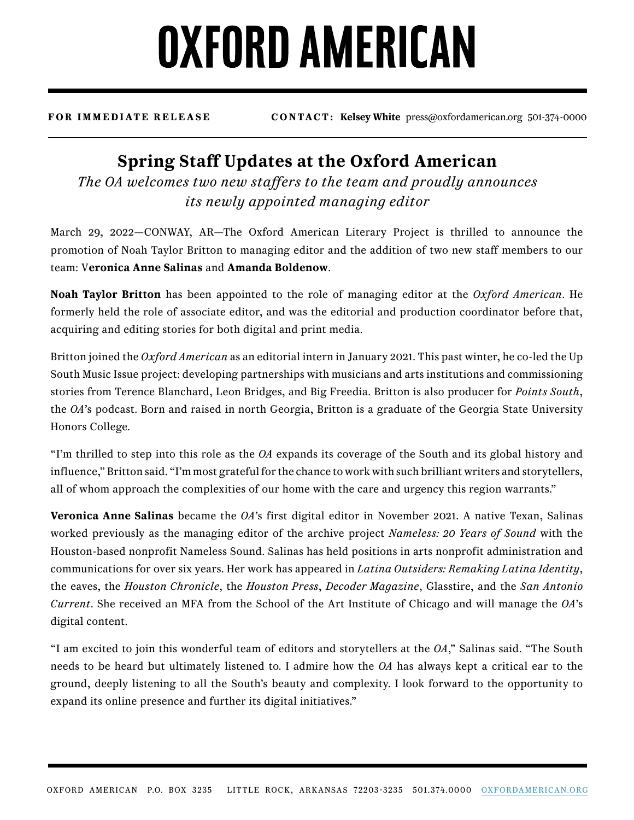## **OXFORD AMERICAN**

**FOR IMMEDIATE RELEASE CONTACT: Kelsey White** press@oxfordamerican.org 501-374-0000

## **Spring Staff Updates at the Oxford American**

*The OA welcomes two new staffers to the team and proudly announces its newly appointed managing editor*

March 29, 2022—CONWAY, AR—The Oxford American Literary Project is thrilled to announce the promotion of Noah Taylor Britton to managing editor and the addition of two new staff members to our team: V**eronica Anne Salinas** and **Amanda Boldenow**.

**Noah Taylor Britton** has been appointed to the role of managing editor at the *Oxford American*. He formerly held the role of associate editor, and was the editorial and production coordinator before that, acquiring and editing stories for both digital and print media.

Britton joined the *Oxford American* as an editorial intern in January 2021. This past winter, he co-led the Up South Music Issue project: developing partnerships with musicians and arts institutions and commissioning stories from Terence Blanchard, Leon Bridges, and Big Freedia. Britton is also producer for *Points South*, the *OA*'s podcast. Born and raised in north Georgia, Britton is a graduate of the Georgia State University Honors College.

"I'm thrilled to step into this role as the *OA* expands its coverage of the South and its global history and influence," Britton said. "I'm most grateful for the chance to work with such brilliant writers and storytellers, all of whom approach the complexities of our home with the care and urgency this region warrants."

**Veronica Anne Salinas** became the *OA*'s first digital editor in November 2021. A native Texan, Salinas worked previously as the managing editor of the archive project *Nameless: 20 Years of Sound* with the Houston-based nonprofit Nameless Sound. Salinas has held positions in arts nonprofit administration and communications for over six years. Her work has appeared in *Latina Outsiders: Remaking Latina Identity*, the eaves, the *Houston Chronicle*, the *Houston Press*, *Decoder Magazine*, Glasstire, and the *San Antonio Current*. She received an MFA from the School of the Art Institute of Chicago and will manage the *OA*'s digital content.

"I am excited to join this wonderful team of editors and storytellers at the *OA*," Salinas said. "The South needs to be heard but ultimately listened to. I admire how the *OA* has always kept a critical ear to the ground, deeply listening to all the South's beauty and complexity. I look forward to the opportunity to expand its online presence and further its digital initiatives."